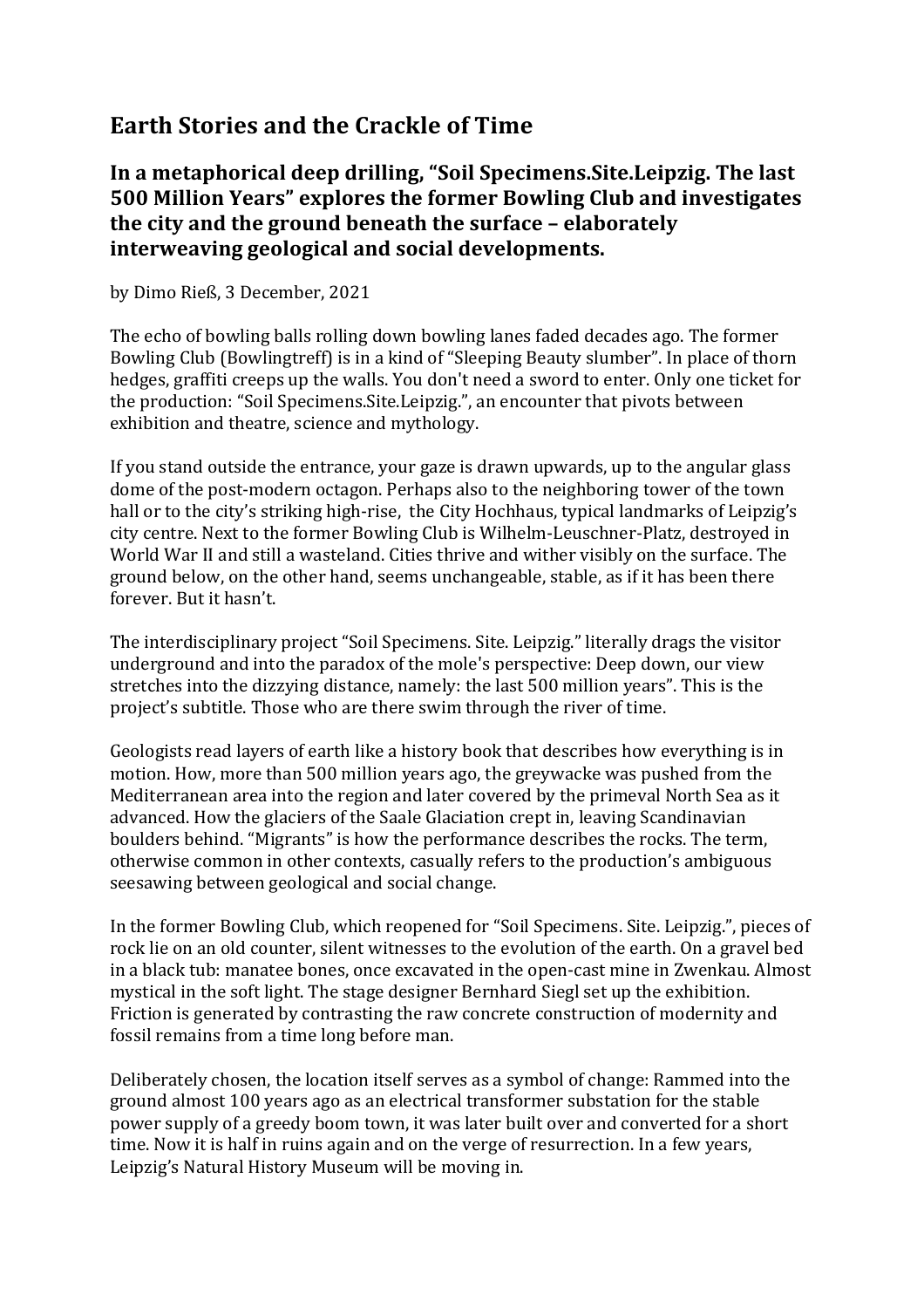## **Earth Stories and the Crackle of Time**

## In a metaphorical deep drilling, "Soil Specimens. Site. Leipzig. The last **500 Million Years" explores the former Bowling Club and investigates the city and the ground beneath the surface – elaborately interweaving geological and social developments.**

by Dimo Rieß, 3 December, 2021

The echo of bowling balls rolling down bowling lanes faded decades ago. The former Bowling Club (Bowlingtreff) is in a kind of "Sleeping Beauty slumber". In place of thorn hedges, graffiti creeps up the walls. You don't need a sword to enter. Only one ticket for the production: "Soil Specimens. Site. Leipzig.", an encounter that pivots between exhibition and theatre, science and mythology.

If you stand outside the entrance, your gaze is drawn upwards, up to the angular glass dome of the post-modern octagon. Perhaps also to the neighboring tower of the town hall or to the city's striking high-rise, the City Hochhaus, typical landmarks of Leipzig's city centre. Next to the former Bowling Club is Wilhelm-Leuschner-Platz, destroyed in World War II and still a wasteland. Cities thrive and wither visibly on the surface. The ground below, on the other hand, seems unchangeable, stable, as if it has been there forever. But it hasn't.

The interdisciplinary project "Soil Specimens. Site. Leipzig." literally drags the visitor underground and into the paradox of the mole's perspective: Deep down, our view stretches into the dizzying distance, namely: the last 500 million years". This is the project's subtitle. Those who are there swim through the river of time.

Geologists read layers of earth like a history book that describes how everything is in motion. How, more than 500 million years ago, the greywacke was pushed from the Mediterranean area into the region and later covered by the primeval North Sea as it advanced. How the glaciers of the Saale Glaciation crept in, leaving Scandinavian boulders behind. "Migrants" is how the performance describes the rocks. The term, otherwise common in other contexts, casually refers to the production's ambiguous seesawing between geological and social change.

In the former Bowling Club, which reopened for "Soil Specimens. Site. Leipzig.", pieces of rock lie on an old counter, silent witnesses to the evolution of the earth. On a gravel bed in a black tub: manatee bones, once excavated in the open-cast mine in Zwenkau. Almost mystical in the soft light. The stage designer Bernhard Siegl set up the exhibition. Friction is generated by contrasting the raw concrete construction of modernity and fossil remains from a time long before man.

Deliberately chosen, the location itself serves as a symbol of change: Rammed into the ground almost 100 years ago as an electrical transformer substation for the stable power supply of a greedy boom town, it was later built over and converted for a short time. Now it is half in ruins again and on the verge of resurrection. In a few years, Leipzig's Natural History Museum will be moving in.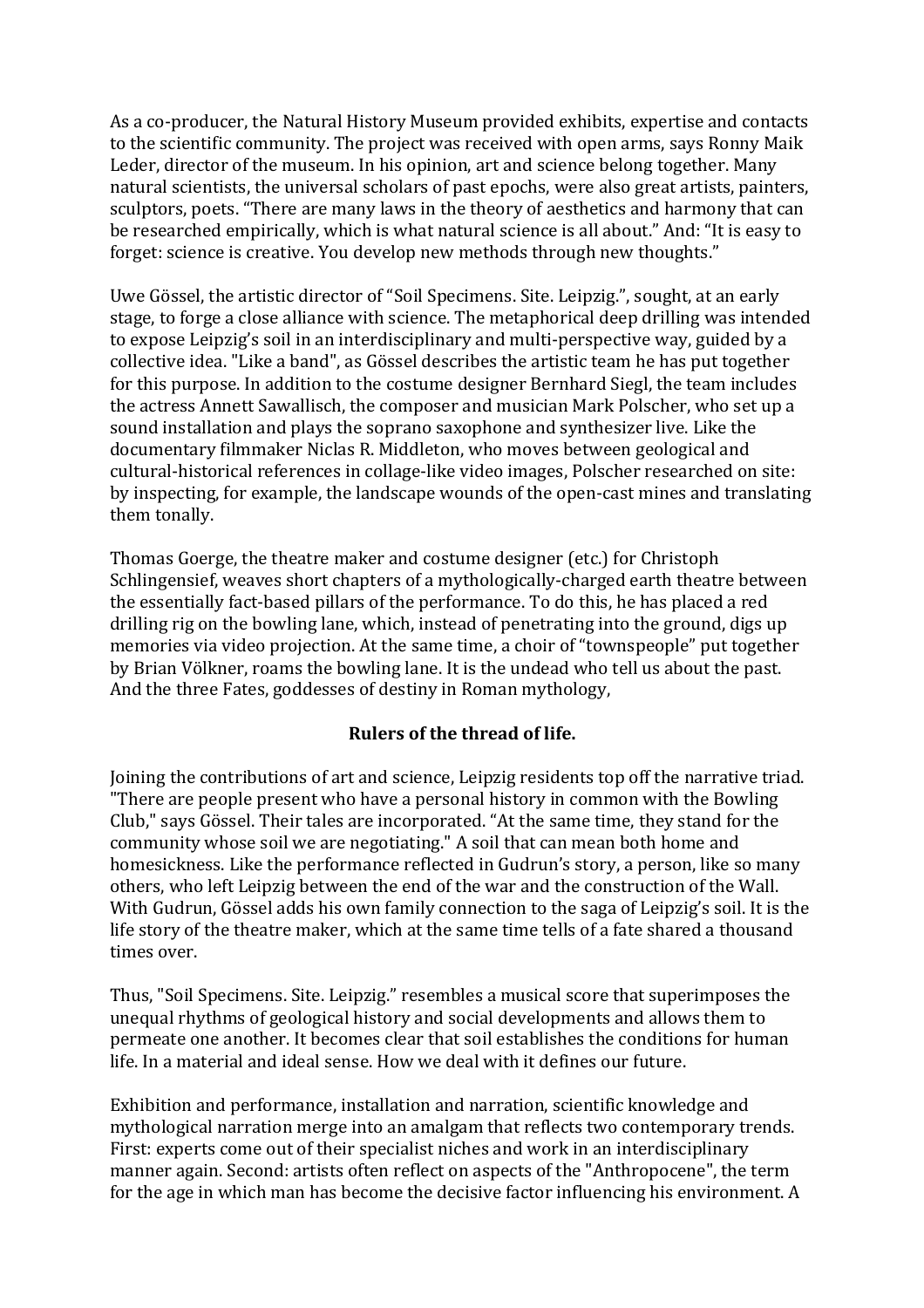As a co-producer, the Natural History Museum provided exhibits, expertise and contacts to the scientific community. The project was received with open arms, savs Ronny Maik Leder, director of the museum. In his opinion, art and science belong together. Many natural scientists, the universal scholars of past epochs, were also great artists, painters, sculptors, poets. "There are many laws in the theory of aesthetics and harmony that can be researched empirically, which is what natural science is all about." And: "It is easy to forget: science is creative. You develop new methods through new thoughts."

Uwe Gössel, the artistic director of "Soil Specimens. Site. Leipzig.", sought, at an early stage, to forge a close alliance with science. The metaphorical deep drilling was intended to expose Leipzig's soil in an interdisciplinary and multi-perspective way, guided by a collective idea. "Like a band", as Gössel describes the artistic team he has put together for this purpose. In addition to the costume designer Bernhard Siegl, the team includes the actress Annett Sawallisch, the composer and musician Mark Polscher, who set up a sound installation and plays the soprano saxophone and synthesizer live. Like the documentary filmmaker Niclas R. Middleton, who moves between geological and cultural-historical references in collage-like video images, Polscher researched on site: by inspecting, for example, the landscape wounds of the open-cast mines and translating them tonally.

Thomas Goerge, the theatre maker and costume designer (etc.) for Christoph Schlingensief, weaves short chapters of a mythologically-charged earth theatre between the essentially fact-based pillars of the performance. To do this, he has placed a red drilling rig on the bowling lane, which, instead of penetrating into the ground, digs up memories via video projection. At the same time, a choir of "townspeople" put together by Brian Völkner, roams the bowling lane. It is the undead who tell us about the past. And the three Fates, goddesses of destiny in Roman mythology,

## **Rulers of the thread of life.**

Joining the contributions of art and science, Leipzig residents top off the narrative triad. "There are people present who have a personal history in common with the Bowling Club," says Gössel. Their tales are incorporated. "At the same time, they stand for the community whose soil we are negotiating." A soil that can mean both home and homesickness. Like the performance reflected in Gudrun's story, a person, like so many others, who left Leipzig between the end of the war and the construction of the Wall. With Gudrun, Gössel adds his own family connection to the saga of Leipzig's soil. It is the life story of the theatre maker, which at the same time tells of a fate shared a thousand times over.

Thus, "Soil Specimens. Site. Leipzig." resembles a musical score that superimposes the unequal rhythms of geological history and social developments and allows them to permeate one another. It becomes clear that soil establishes the conditions for human life. In a material and ideal sense. How we deal with it defines our future.

Exhibition and performance, installation and narration, scientific knowledge and mythological narration merge into an amalgam that reflects two contemporary trends. First: experts come out of their specialist niches and work in an interdisciplinary manner again. Second: artists often reflect on aspects of the "Anthropocene", the term for the age in which man has become the decisive factor influencing his environment. A